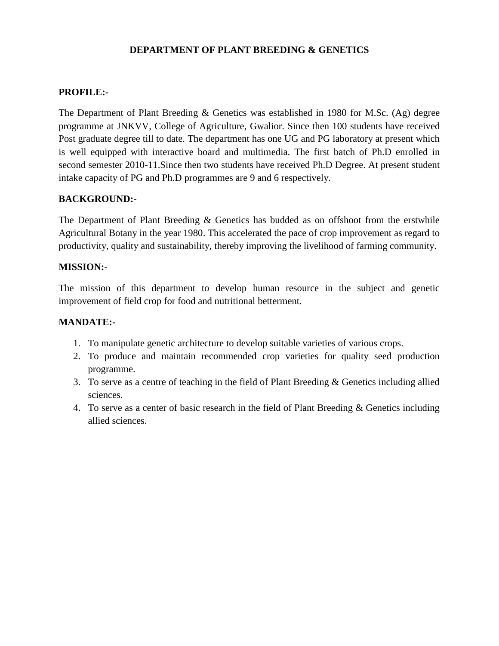#### **DEPARTMENT OF PLANT BREEDING & GENETICS**

#### **PROFILE:-**

The Department of Plant Breeding & Genetics was established in 1980 for M.Sc. (Ag) degree programme at JNKVV, College of Agriculture, Gwalior. Since then 100 students have received Post graduate degree till to date. The department has one UG and PG laboratory at present which is well equipped with interactive board and multimedia. The first batch of Ph.D enrolled in second semester 2010-11.Since then two students have received Ph.D Degree. At present student intake capacity of PG and Ph.D programmes are 9 and 6 respectively.

#### **BACKGROUND:-**

The Department of Plant Breeding & Genetics has budded as on offshoot from the erstwhile Agricultural Botany in the year 1980. This accelerated the pace of crop improvement as regard to productivity, quality and sustainability, thereby improving the livelihood of farming community.

#### **MISSION:-**

The mission of this department to develop human resource in the subject and genetic improvement of field crop for food and nutritional betterment.

#### **MANDATE:-**

- 1. To manipulate genetic architecture to develop suitable varieties of various crops.
- 2. To produce and maintain recommended crop varieties for quality seed production programme.
- 3. To serve as a centre of teaching in the field of Plant Breeding & Genetics including allied sciences.
- 4. To serve as a center of basic research in the field of Plant Breeding & Genetics including allied sciences.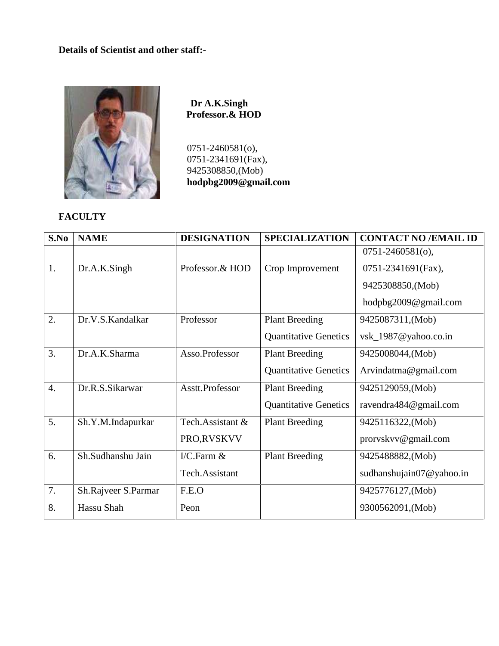#### **Details of Scientist and other staff:-**



**Dr A.K.Singh Professor.& HOD**

0751-2460581(o), 0751-2341691(Fax), 9425308850,(Mob) **hodpbg2009@gmail.com**

## **FACULTY**

| S.No             | <b>NAME</b>         | <b>DESIGNATION</b> | <b>SPECIALIZATION</b>        | <b>CONTACT NO /EMAIL ID</b>  |
|------------------|---------------------|--------------------|------------------------------|------------------------------|
|                  |                     |                    |                              | $0751 - 2460581$ (o),        |
| 1.               | Dr.A.K.Singh        | Professor.& HOD    | Crop Improvement             | 0751-2341691(Fax),           |
|                  |                     |                    |                              | 9425308850, (Mob)            |
|                  |                     |                    |                              | hodpbg2009@gmail.com         |
| 2.               | Dr.V.S.Kandalkar    | Professor          | <b>Plant Breeding</b>        | 9425087311, (Mob)            |
|                  |                     |                    | <b>Quantitative Genetics</b> | vsk_1987@yahoo.co.in         |
| 3.               | Dr.A.K.Sharma       | Asso.Professor     | <b>Plant Breeding</b>        | 9425008044, (Mob)            |
|                  |                     |                    | <b>Quantitative Genetics</b> | Arvindatma@gmail.com         |
| $\overline{4}$ . | Dr.R.S.Sikarwar     | Asstt.Professor    | <b>Plant Breeding</b>        | 9425129059, (Mob)            |
|                  |                     |                    | <b>Quantitative Genetics</b> | ravendra484@gmail.com        |
| 5.               | Sh.Y.M.Indapurkar   | Tech.Assistant &   | <b>Plant Breeding</b>        | 9425116322, (Mob)            |
|                  |                     | PRO,RVSKVV         |                              | prorvskvv@gmail.com          |
| 6.               | Sh.Sudhanshu Jain   | I/C.Farm $&$       | <b>Plant Breeding</b>        | 9425488882, (Mob)            |
|                  |                     | Tech.Assistant     |                              | sudhanshujain07 $@$ yahoo.in |
| 7.               | Sh.Rajveer S.Parmar | F.E.O              |                              | 9425776127, (Mob)            |
| 8.               | Hassu Shah          | Peon               |                              | 9300562091, (Mob)            |
|                  |                     |                    |                              |                              |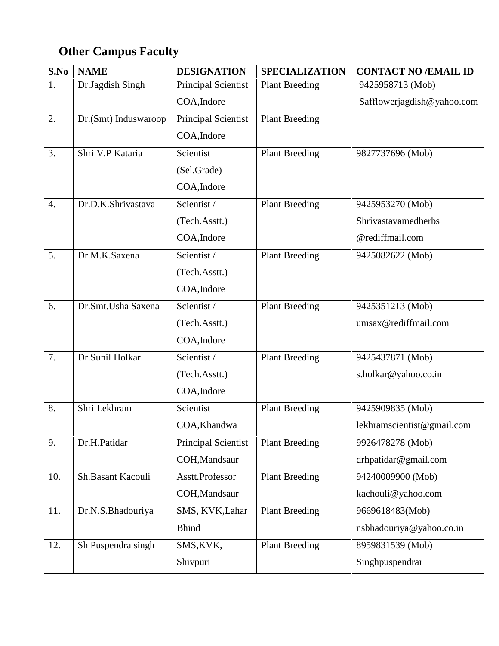# **Other Campus Faculty**

| S.No             | <b>NAME</b>          | <b>DESIGNATION</b>         | <b>SPECIALIZATION</b> | <b>CONTACT NO /EMAIL ID</b> |
|------------------|----------------------|----------------------------|-----------------------|-----------------------------|
| 1.               | Dr.Jagdish Singh     | <b>Principal Scientist</b> | <b>Plant Breeding</b> | 9425958713 (Mob)            |
|                  |                      | COA, Indore                |                       | Safflowerjagdish@yahoo.com  |
| 2.               | Dr.(Smt) Induswaroop | Principal Scientist        | <b>Plant Breeding</b> |                             |
|                  |                      | COA, Indore                |                       |                             |
| 3.               | Shri V.P Kataria     | Scientist                  | <b>Plant Breeding</b> | 9827737696 (Mob)            |
|                  |                      | (Sel.Grade)                |                       |                             |
|                  |                      | COA, Indore                |                       |                             |
| $\overline{4}$ . | Dr.D.K.Shrivastava   | Scientist /                | <b>Plant Breeding</b> | 9425953270 (Mob)            |
|                  |                      | (Tech.Asstt.)              |                       | Shrivastavamedherbs         |
|                  |                      | COA, Indore                |                       | @rediffmail.com             |
| 5.               | Dr.M.K.Saxena        | Scientist /                | <b>Plant Breeding</b> | 9425082622 (Mob)            |
|                  |                      | (Tech.Asstt.)              |                       |                             |
|                  |                      | COA, Indore                |                       |                             |
| 6.               | Dr.Smt.Usha Saxena   | Scientist /                | <b>Plant Breeding</b> | 9425351213 (Mob)            |
|                  |                      | (Tech.Asstt.)              |                       | umsax@rediffmail.com        |
|                  |                      | COA, Indore                |                       |                             |
| 7.               | Dr.Sunil Holkar      | Scientist /                | <b>Plant Breeding</b> | 9425437871 (Mob)            |
|                  |                      | (Tech.Asstt.)              |                       | s.holkar@yahoo.co.in        |
|                  |                      | COA, Indore                |                       |                             |
| 8.               | Shri Lekhram         | Scientist                  | <b>Plant Breeding</b> | 9425909835 (Mob)            |
|                  |                      | COA, Khandwa               |                       | lekhramscientist@gmail.com  |
| 9.               | Dr.H.Patidar         | Principal Scientist        | <b>Plant Breeding</b> | 9926478278 (Mob)            |
|                  |                      | COH, Mandsaur              |                       | drhpatidar@gmail.com        |
| 10.              | Sh.Basant Kacouli    | Asstt.Professor            | <b>Plant Breeding</b> | 94240009900 (Mob)           |
|                  |                      | COH, Mandsaur              |                       | kachouli@yahoo.com          |
| 11.              | Dr.N.S.Bhadouriya    | SMS, KVK, Lahar            | <b>Plant Breeding</b> | 9669618483(Mob)             |
|                  |                      | <b>Bhind</b>               |                       | nsbhadouriya@yahoo.co.in    |
| 12.              | Sh Puspendra singh   | SMS, KVK,                  | <b>Plant Breeding</b> | 8959831539 (Mob)            |
|                  |                      | Shivpuri                   |                       | Singhpuspendrar             |
|                  |                      |                            |                       |                             |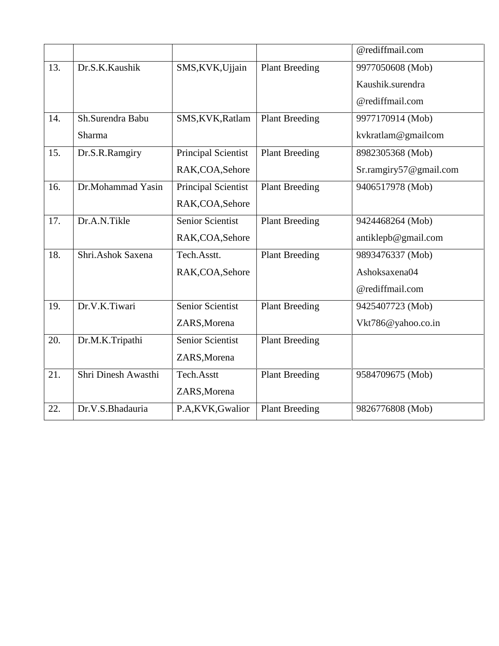|                     |                            |                       | @rediffmail.com        |
|---------------------|----------------------------|-----------------------|------------------------|
| Dr.S.K.Kaushik      | SMS, KVK, Ujjain           | <b>Plant Breeding</b> | 9977050608 (Mob)       |
|                     |                            |                       | Kaushik.surendra       |
|                     |                            |                       | @rediffmail.com        |
| Sh.Surendra Babu    | SMS, KVK, Ratlam           | <b>Plant Breeding</b> | 9977170914 (Mob)       |
| Sharma              |                            |                       | kvkratlam@gmailcom     |
| Dr.S.R.Ramgiry      | <b>Principal Scientist</b> | <b>Plant Breeding</b> | 8982305368 (Mob)       |
|                     | RAK, COA, Sehore           |                       | Sr.ramgiry57@gmail.com |
| Dr.Mohammad Yasin   | <b>Principal Scientist</b> | <b>Plant Breeding</b> | 9406517978 (Mob)       |
|                     | RAK, COA, Sehore           |                       |                        |
| Dr.A.N.Tikle        | Senior Scientist           | <b>Plant Breeding</b> | 9424468264 (Mob)       |
|                     | RAK, COA, Sehore           |                       | antiklepb@gmail.com    |
| Shri.Ashok Saxena   | Tech.Asstt.                | <b>Plant Breeding</b> | 9893476337 (Mob)       |
|                     | RAK, COA, Sehore           |                       | Ashoksaxena04          |
|                     |                            |                       | @rediffmail.com        |
| Dr.V.K.Tiwari       | Senior Scientist           | <b>Plant Breeding</b> | 9425407723 (Mob)       |
|                     | ZARS, Morena               |                       | Vkt786@yahoo.co.in     |
| Dr.M.K.Tripathi     | Senior Scientist           | <b>Plant Breeding</b> |                        |
|                     | ZARS, Morena               |                       |                        |
| Shri Dinesh Awasthi | Tech.Asstt                 | <b>Plant Breeding</b> | 9584709675 (Mob)       |
|                     | ZARS, Morena               |                       |                        |
| Dr.V.S.Bhadauria    | P.A,KVK,Gwalior            | <b>Plant Breeding</b> | 9826776808 (Mob)       |
|                     |                            |                       |                        |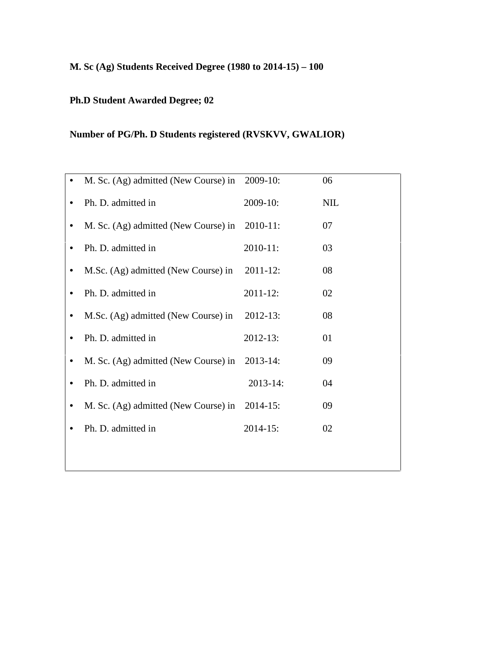## **M. Sc (Ag) Students Received Degree (1980 to 2014-15) – 100**

## **Ph.D Student Awarded Degree; 02**

## **Number of PG/Ph. D Students registered (RVSKVV, GWALIOR)**

| M. Sc. (Ag) admitted (New Course) in          | $2009-10$ :   | 06         |
|-----------------------------------------------|---------------|------------|
| Ph. D. admitted in                            | 2009-10:      | <b>NIL</b> |
| M. Sc. (Ag) admitted (New Course) in 2010-11: |               | 07         |
| Ph. D. admitted in                            | 2010-11:      | 03         |
| M.Sc. (Ag) admitted (New Course) in           | $2011 - 12$ : | 08         |
| Ph. D. admitted in                            | 2011-12:      | 02         |
| M.Sc. (Ag) admitted (New Course) in           | $2012 - 13$ : | 08         |
| Ph. D. admitted in                            | 2012-13:      | 01         |
| M. Sc. (Ag) admitted (New Course) in          | $2013 - 14$ : | 09         |
| Ph. D. admitted in                            | 2013-14:      | 04         |
| M. Sc. (Ag) admitted (New Course) in 2014-15: |               | 09         |
| Ph. D. admitted in                            | $2014 - 15$ : | 02         |
|                                               |               |            |
|                                               |               |            |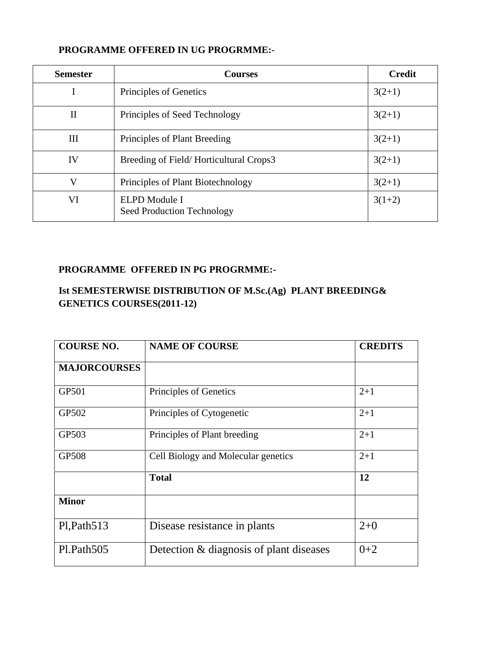| <b>Semester</b> | <b>Courses</b>                              | <b>Credit</b> |
|-----------------|---------------------------------------------|---------------|
|                 | Principles of Genetics                      | $3(2+1)$      |
| $\mathbf{I}$    | Principles of Seed Technology               | $3(2+1)$      |
| III             | Principles of Plant Breeding                | $3(2+1)$      |
| IV              | Breeding of Field/Horticultural Crops3      | $3(2+1)$      |
| V               | Principles of Plant Biotechnology           | $3(2+1)$      |
| VI              | ELPD Module I<br>Seed Production Technology | $3(1+2)$      |

## **PROGRAMME OFFERED IN PG PROGRMME:-**

## **Ist SEMESTERWISE DISTRIBUTION OF M.Sc.(Ag) PLANT BREEDING& GENETICS COURSES(2011-12)**

| <b>COURSE NO.</b>   | <b>NAME OF COURSE</b>                   | <b>CREDITS</b> |
|---------------------|-----------------------------------------|----------------|
| <b>MAJORCOURSES</b> |                                         |                |
| GP501               | Principles of Genetics                  | $2+1$          |
| GP502               | Principles of Cytogenetic               | $2 + 1$        |
| GP503               | Principles of Plant breeding            | $2+1$          |
| <b>GP508</b>        | Cell Biology and Molecular genetics     | $2+1$          |
|                     | <b>Total</b>                            | 12             |
| <b>Minor</b>        |                                         |                |
| Pl, Path513         | Disease resistance in plants            | $2+0$          |
| Pl.Path505          | Detection & diagnosis of plant diseases | $0+2$          |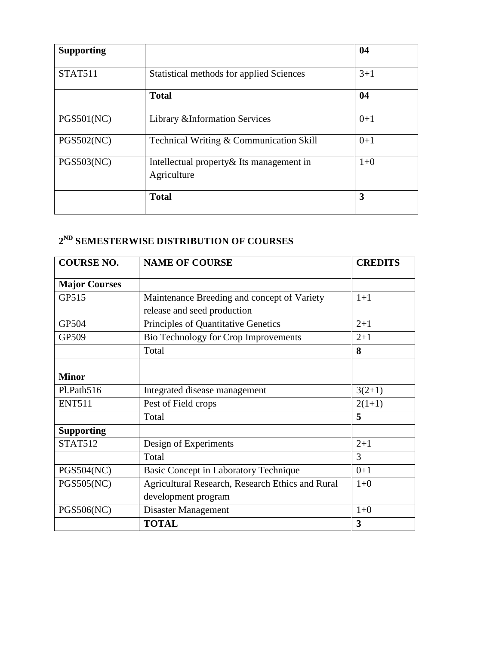| <b>Supporting</b> |                                                          | 04    |
|-------------------|----------------------------------------------------------|-------|
| <b>STAT511</b>    | Statistical methods for applied Sciences                 | $3+1$ |
|                   | <b>Total</b>                                             | 04    |
| <b>PGS501(NC)</b> | Library & Information Services                           | $0+1$ |
| <b>PGS502(NC)</b> | Technical Writing & Communication Skill                  | $0+1$ |
| <b>PGS503(NC)</b> | Intellectual property & Its management in<br>Agriculture | $1+0$ |
|                   | <b>Total</b>                                             | 3     |

## **2 ND SEMESTERWISE DISTRIBUTION OF COURSES**

| <b>COURSE NO.</b>    | <b>NAME OF COURSE</b>                            | <b>CREDITS</b> |
|----------------------|--------------------------------------------------|----------------|
| <b>Major Courses</b> |                                                  |                |
| GP515                | Maintenance Breeding and concept of Variety      | $1+1$          |
|                      | release and seed production                      |                |
| GP504                | Principles of Quantitative Genetics              | $2 + 1$        |
| GP509                | Bio Technology for Crop Improvements             | $2+1$          |
|                      | Total                                            | 8              |
|                      |                                                  |                |
| <b>Minor</b>         |                                                  |                |
| Pl.Path516           | Integrated disease management                    | $3(2+1)$       |
| <b>ENT511</b>        | Pest of Field crops                              | $2(1+1)$       |
|                      | Total                                            | 5              |
| <b>Supporting</b>    |                                                  |                |
| <b>STAT512</b>       | Design of Experiments                            | $2 + 1$        |
|                      | Total                                            | 3              |
| PGS504(NC)           | Basic Concept in Laboratory Technique            | $0+1$          |
| <b>PGS505(NC)</b>    | Agricultural Research, Research Ethics and Rural | $1 + 0$        |
|                      | development program                              |                |
| <b>PGS506(NC)</b>    | Disaster Management                              | $1 + 0$        |
|                      | <b>TOTAL</b>                                     | 3              |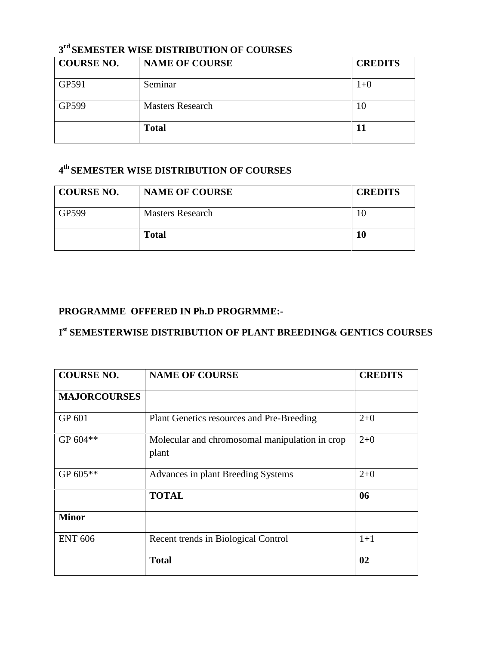## **3 rd SEMESTER WISE DISTRIBUTION OF COURSES**

| <b>COURSE NO.</b> | <b>NAME OF COURSE</b>   | <b>CREDITS</b> |
|-------------------|-------------------------|----------------|
| GP591             | Seminar                 | $1 + 0$        |
| GP599             | <b>Masters Research</b> | 10             |
|                   | <b>Total</b>            |                |

## **4 th SEMESTER WISE DISTRIBUTION OF COURSES**

| <b>COURSE NO.</b> | <b>NAME OF COURSE</b>   | <b>CREDITS</b> |
|-------------------|-------------------------|----------------|
| GP599             | <b>Masters Research</b> |                |
|                   | <b>Total</b>            | 10             |

## **PROGRAMME OFFERED IN Ph.D PROGRMME:-**

## **I st SEMESTERWISE DISTRIBUTION OF PLANT BREEDING& GENTICS COURSES**

| <b>COURSE NO.</b>   | <b>NAME OF COURSE</b>                                   | <b>CREDITS</b> |
|---------------------|---------------------------------------------------------|----------------|
| <b>MAJORCOURSES</b> |                                                         |                |
| GP 601              | Plant Genetics resources and Pre-Breeding               | $2+0$          |
| GP 604**            | Molecular and chromosomal manipulation in crop<br>plant | $2+0$          |
| GP $605**$          | Advances in plant Breeding Systems                      | $2+0$          |
|                     | <b>TOTAL</b>                                            | 06             |
| <b>Minor</b>        |                                                         |                |
| <b>ENT 606</b>      | Recent trends in Biological Control                     | $1+1$          |
|                     | <b>Total</b>                                            | 02             |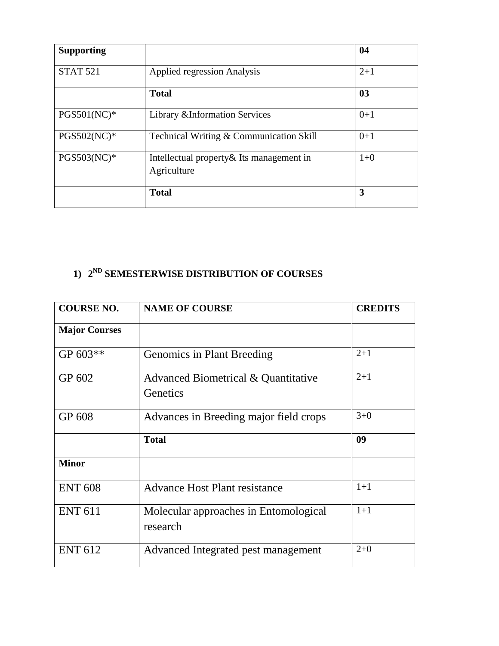| <b>Supporting</b> |                                                          | 04    |
|-------------------|----------------------------------------------------------|-------|
| <b>STAT 521</b>   | <b>Applied regression Analysis</b>                       | $2+1$ |
|                   | <b>Total</b>                                             | 03    |
| $PGS501(NC)*$     | Library & Information Services                           | $0+1$ |
| $PGS502(NC)*$     | Technical Writing & Communication Skill                  | $0+1$ |
| PGS503(NC)*       | Intellectual property & Its management in<br>Agriculture | $1+0$ |
|                   | <b>Total</b>                                             | 3     |

## **1) 2 ND SEMESTERWISE DISTRIBUTION OF COURSES**

| <b>COURSE NO.</b>    | <b>NAME OF COURSE</b>                             | <b>CREDITS</b> |
|----------------------|---------------------------------------------------|----------------|
| <b>Major Courses</b> |                                                   |                |
| GP 603**             | Genomics in Plant Breeding                        | $2 + 1$        |
| GP 602               | Advanced Biometrical & Quantitative<br>Genetics   | $2 + 1$        |
| GP 608               | Advances in Breeding major field crops            | $3 + 0$        |
|                      | <b>Total</b>                                      | 09             |
| <b>Minor</b>         |                                                   |                |
| <b>ENT 608</b>       | <b>Advance Host Plant resistance</b>              | $1+1$          |
| <b>ENT 611</b>       | Molecular approaches in Entomological<br>research | $1+1$          |
| <b>ENT 612</b>       | Advanced Integrated pest management               | $2+0$          |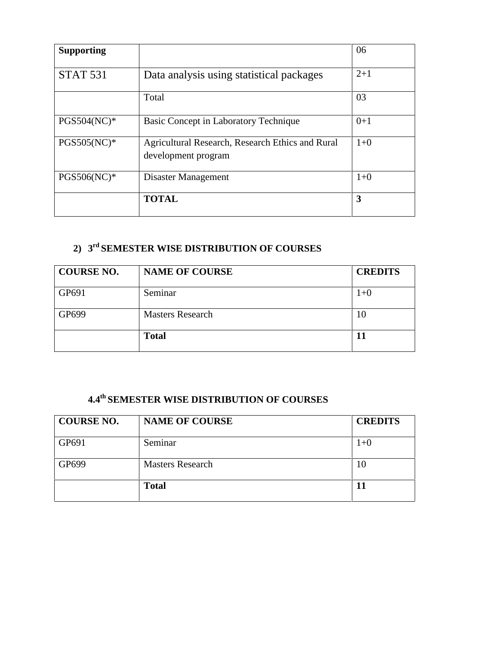| <b>Supporting</b> |                                                                         | 06      |
|-------------------|-------------------------------------------------------------------------|---------|
| <b>STAT 531</b>   | Data analysis using statistical packages                                | $2+1$   |
|                   | Total                                                                   | 03      |
| $PGS504(NC)*$     | Basic Concept in Laboratory Technique                                   | $0 + 1$ |
| $PGS505(NC)*$     | Agricultural Research, Research Ethics and Rural<br>development program | $1+0$   |
| PGS506(NC)*       | Disaster Management                                                     | $1+0$   |
|                   | <b>TOTAL</b>                                                            | 3       |

## **2) 3 rd SEMESTER WISE DISTRIBUTION OF COURSES**

| <b>COURSE NO.</b> | <b>NAME OF COURSE</b>   | <b>CREDITS</b> |
|-------------------|-------------------------|----------------|
| GP691             | Seminar                 | 1+0            |
| GP699             | <b>Masters Research</b> | 10             |
|                   | <b>Total</b>            |                |

## **4.4th SEMESTER WISE DISTRIBUTION OF COURSES**

| <b>COURSE NO.</b> | <b>NAME OF COURSE</b>   | <b>CREDITS</b> |
|-------------------|-------------------------|----------------|
| GP691             | Seminar                 | $1+0$          |
| GP699             | <b>Masters Research</b> | 10             |
|                   | <b>Total</b>            |                |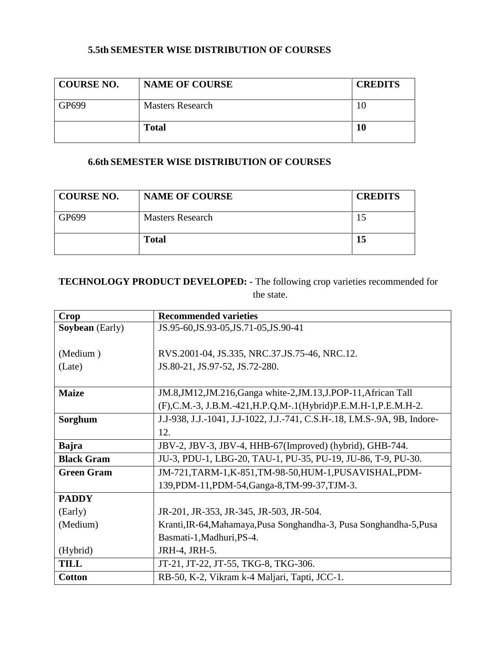#### **5.5th SEMESTER WISE DISTRIBUTION OF COURSES**

| <b>COURSE NO.</b> | <b>NAME OF COURSE</b>   | <b>CREDITS</b> |
|-------------------|-------------------------|----------------|
| GP699             | <b>Masters Research</b> | .U             |
|                   | <b>Total</b>            |                |

## **6.6th SEMESTER WISE DISTRIBUTION OF COURSES**

| <b>COURSE NO.</b> | <b>NAME OF COURSE</b>   | <b>CREDITS</b> |
|-------------------|-------------------------|----------------|
| GP699             | <b>Masters Research</b> |                |
|                   | <b>Total</b>            |                |

## **TECHNOLOGY PRODUCT DEVELOPED: -** The following crop varieties recommended for the state.

| Crop                   | <b>Recommended varieties</b>                                              |
|------------------------|---------------------------------------------------------------------------|
| <b>Soybean</b> (Early) | JS.95-60, JS.93-05, JS.71-05, JS.90-41                                    |
|                        |                                                                           |
| (Medium)               | RVS.2001-04, JS.335, NRC.37.JS.75-46, NRC.12.                             |
| (Late)                 | JS.80-21, JS.97-52, JS.72-280.                                            |
|                        |                                                                           |
| <b>Maize</b>           | JM.8,JM12,JM.216,Ganga white-2,JM.13,J.POP-11,African Tall                |
|                        | (F), C.M.-3, J.B.M.-421, H.P.Q.M-.1(Hybrid) P.E.M.H-1, P.E.M.H-2.         |
| Sorghum                | J.J-938, J.J.-1041, J.J-1022, J.J.-741, C.S.H-.18, I.M.S-.9A, 9B, Indore- |
|                        | 12.                                                                       |
| <b>Bajra</b>           | JBV-2, JBV-3, JBV-4, HHB-67(Improved) (hybrid), GHB-744.                  |
| <b>Black Gram</b>      | JU-3, PDU-1, LBG-20, TAU-1, PU-35, PU-19, JU-86, T-9, PU-30.              |
| <b>Green Gram</b>      | JM-721, TARM-1, K-851, TM-98-50, HUM-1, PUSAVISHAL, PDM-                  |
|                        | 139, PDM-11, PDM-54, Ganga-8, TM-99-37, TJM-3.                            |
| <b>PADDY</b>           |                                                                           |
| (Early)                | JR-201, JR-353, JR-345, JR-503, JR-504.                                   |
| (Medium)               | Kranti, IR-64, Mahamaya, Pusa Songhandha-3, Pusa Songhandha-5, Pusa       |
|                        | Basmati-1, Madhuri, PS-4.                                                 |
| (Hybrid)               | JRH-4, JRH-5.                                                             |
| <b>TILL</b>            | JT-21, JT-22, JT-55, TKG-8, TKG-306.                                      |
| <b>Cotton</b>          | RB-50, K-2, Vikram k-4 Maljari, Tapti, JCC-1.                             |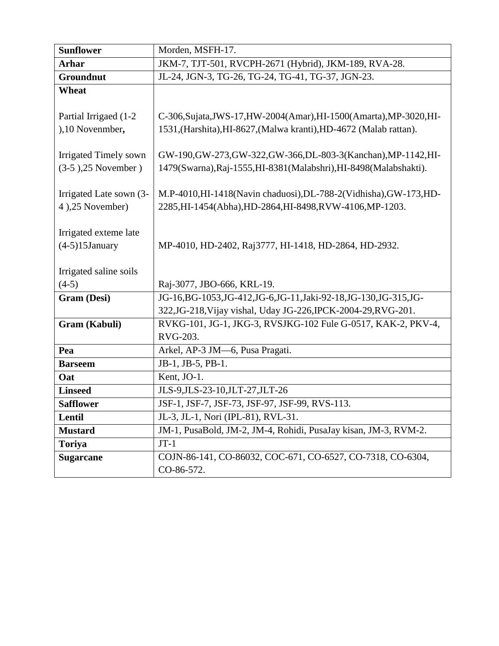| <b>Sunflower</b>             | Morden, MSFH-17.                                                     |  |
|------------------------------|----------------------------------------------------------------------|--|
| <b>Arhar</b>                 | JKM-7, TJT-501, RVCPH-2671 (Hybrid), JKM-189, RVA-28.                |  |
| Groundnut                    | JL-24, JGN-3, TG-26, TG-24, TG-41, TG-37, JGN-23.                    |  |
| Wheat                        |                                                                      |  |
|                              |                                                                      |  |
| Partial Irrigaed (1-2)       | C-306, Sujata, JWS-17, HW-2004(Amar), HI-1500(Amarta), MP-3020, HI-  |  |
| ),10 Novenmber,              | 1531, (Harshita), HI-8627, (Malwa kranti), HD-4672 (Malab rattan).   |  |
|                              |                                                                      |  |
| <b>Irrigated Timely sown</b> | GW-190, GW-273, GW-322, GW-366, DL-803-3 (Kanchan), MP-1142, HI-     |  |
| $(3-5)$ , 25 November)       | 1479(Swarna), Raj-1555, HI-8381(Malabshri), HI-8498(Malabshakti).    |  |
|                              |                                                                      |  |
| Irrigated Late sown (3-      | M.P-4010,HI-1418(Navin chaduosi),DL-788-2(Vidhisha),GW-173,HD-       |  |
| 4),25 November)              | 2285, HI-1454(Abha), HD-2864, HI-8498, RVW-4106, MP-1203.            |  |
|                              |                                                                      |  |
| Irrigated exteme late        |                                                                      |  |
| $(4-5)15$ January            | MP-4010, HD-2402, Raj3777, HI-1418, HD-2864, HD-2932.                |  |
| Irrigated saline soils       |                                                                      |  |
| $(4-5)$                      | Raj-3077, JBO-666, KRL-19.                                           |  |
| Gram (Desi)                  | JG-16, BG-1053, JG-412, JG-6, JG-11, Jaki-92-18, JG-130, JG-315, JG- |  |
|                              | 322, JG-218, Vijay vishal, Uday JG-226, IPCK-2004-29, RVG-201.       |  |
| Gram (Kabuli)                | RVKG-101, JG-1, JKG-3, RVSJKG-102 Fule G-0517, KAK-2, PKV-4,         |  |
|                              | RVG-203.                                                             |  |
| Pea                          | Arkel, AP-3 JM-6, Pusa Pragati.                                      |  |
| <b>Barseem</b>               | JB-1, JB-5, PB-1.                                                    |  |
| Oat                          | Kent, JO-1.                                                          |  |
| <b>Linseed</b>               | JLS-9, JLS-23-10, JLT-27, JLT-26                                     |  |
| <b>Safflower</b>             | JSF-1, JSF-7, JSF-73, JSF-97, JSF-99, RVS-113.                       |  |
| Lentil                       | JL-3, JL-1, Nori (IPL-81), RVL-31.                                   |  |
| <b>Mustard</b>               | JM-1, PusaBold, JM-2, JM-4, Rohidi, PusaJay kisan, JM-3, RVM-2.      |  |
| <b>Toriya</b>                | $JT-1$                                                               |  |
| <b>Sugarcane</b>             | COJN-86-141, CO-86032, COC-671, CO-6527, CO-7318, CO-6304,           |  |
|                              | CO-86-572.                                                           |  |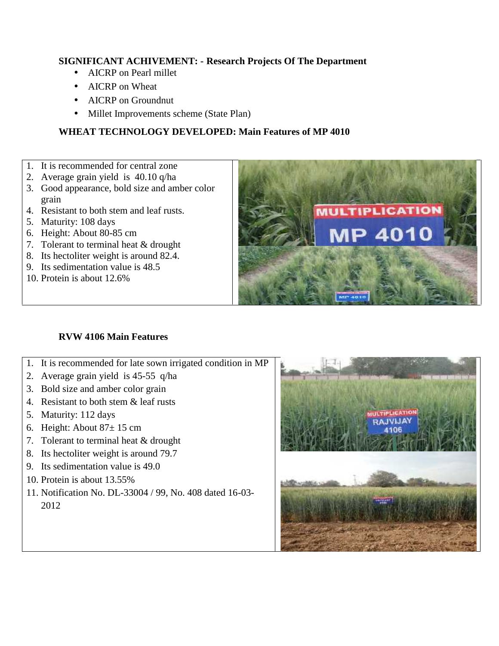#### **SIGNIFICANT ACHIVEMENT: - Research Projects Of The Department**

- AICRP on Pearl millet
- AICRP on Wheat
- AICRP on Groundnut
- Millet Improvements scheme (State Plan)

## **WHEAT TECHNOLOGY DEVELOPED: Main Features of MP 4010**

- 1. It is recommended for central zone
- 2. Average grain yield is 40.10 q/ha
- 3. Good appearance, bold size and amber color grain
- 4. Resistant to both stem and leaf rusts.
- 5. Maturity: 108 days
- 6. Height: About 80-85 cm
- 7. Tolerant to terminal heat & drought
- 8. Its hectoliter weight is around 82.4.
- 9. Its sedimentation value is 48.5
- 10. Protein is about 12.6%

## **RVW 4106 Main Features**

- 1. It is recommended for late sown irrigated condition in MP
- 2. Average grain yield is 45-55 q/ha
- 3. Bold size and amber color grain
- 4. Resistant to both stem & leaf rusts
- 5. Maturity: 112 days
- 6. Height: About  $87 \pm 15$  cm
- 7. Tolerant to terminal heat & drought
- 8. Its hectoliter weight is around 79.7
- 9. Its sedimentation value is 49.0
- 10. Protein is about 13.55%
- 11. Notification No. DL-33004 / 99, No. 408 dated 16-03- 2012



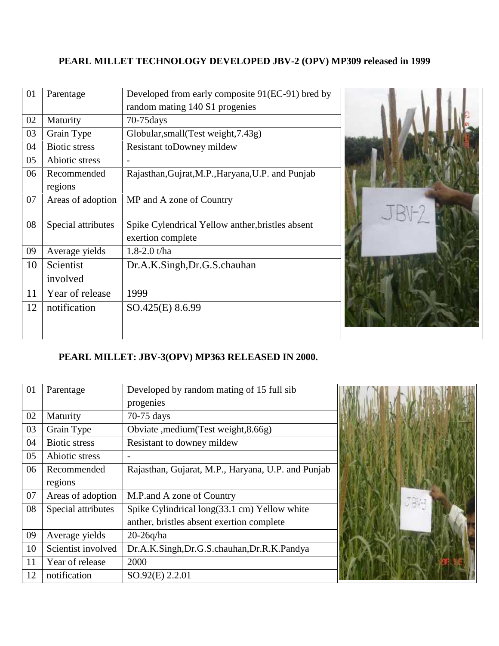## **PEARL MILLET TECHNOLOGY DEVELOPED JBV-2 (OPV) MP309 released in 1999**

| 01 | Parentage              | Developed from early composite 91(EC-91) bred by                      |  |
|----|------------------------|-----------------------------------------------------------------------|--|
|    |                        | random mating 140 S1 progenies                                        |  |
| 02 | Maturity               | $70-75$ days                                                          |  |
| 03 | Grain Type             | Globular, small (Test weight, 7.43g)                                  |  |
| 04 | Biotic stress          | Resistant to Downey mildew                                            |  |
| 05 | Abiotic stress         |                                                                       |  |
| 06 | Recommended<br>regions | Rajasthan, Gujrat, M.P., Haryana, U.P. and Punjab                     |  |
| 07 | Areas of adoption      | MP and A zone of Country                                              |  |
| 08 | Special attributes     | Spike Cylendrical Yellow anther, bristles absent<br>exertion complete |  |
| 09 | Average yields         | 1.8-2.0 $t/ha$                                                        |  |
| 10 | Scientist<br>involved  | Dr.A.K.Singh,Dr.G.S.chauhan                                           |  |
| 11 | Year of release        | 1999                                                                  |  |
| 12 | notification           | SO.425(E) 8.6.99                                                      |  |

## **PEARL MILLET: JBV-3(OPV) MP363 RELEASED IN 2000.**

| 01 | Parentage            | Developed by random mating of 15 full sib          |  |
|----|----------------------|----------------------------------------------------|--|
|    |                      | progenies                                          |  |
| 02 | Maturity             | 70-75 days                                         |  |
| 03 | Grain Type           | Obviate , medium (Test weight, 8.66g)              |  |
| 04 | <b>Biotic stress</b> | Resistant to downey mildew                         |  |
| 05 | Abiotic stress       |                                                    |  |
| 06 | Recommended          | Rajasthan, Gujarat, M.P., Haryana, U.P. and Punjab |  |
|    | regions              |                                                    |  |
| 07 | Areas of adoption    | M.P.and A zone of Country                          |  |
| 08 | Special attributes   | Spike Cylindrical long(33.1 cm) Yellow white       |  |
|    |                      | anther, bristles absent exertion complete          |  |
| 09 | Average yields       | $20-26q/ha$                                        |  |
| 10 | Scientist involved   | Dr.A.K.Singh,Dr.G.S.chauhan,Dr.R.K.Pandya          |  |
| 11 | Year of release      | 2000                                               |  |
| 12 | notification         | SO.92(E) 2.2.01                                    |  |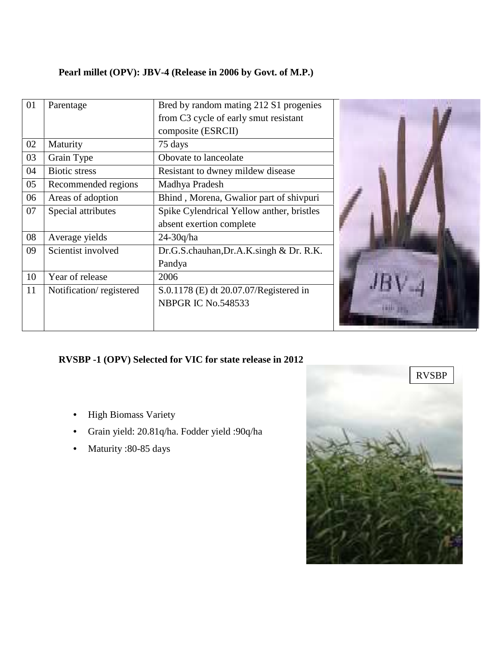## **Pearl millet (OPV): JBV-4 (Release in 2006 by Govt. of M.P.)**

| 01 | Parentage               | Bred by random mating 212 S1 progenies    |  |
|----|-------------------------|-------------------------------------------|--|
|    |                         | from C3 cycle of early smut resistant     |  |
|    |                         | composite (ESRCII)                        |  |
| 02 | Maturity                | 75 days                                   |  |
| 03 | Grain Type              | Obovate to lanceolate                     |  |
| 04 | <b>Biotic stress</b>    | Resistant to dwney mildew disease         |  |
| 05 | Recommended regions     | Madhya Pradesh                            |  |
| 06 | Areas of adoption       | Bhind, Morena, Gwalior part of shivpuri   |  |
| 07 | Special attributes      | Spike Cylendrical Yellow anther, bristles |  |
|    |                         | absent exertion complete                  |  |
| 08 | Average yields          | $24-30q/ha$                               |  |
| 09 | Scientist involved      | Dr.G.S.chauhan, Dr.A.K.singh & Dr.R.K.    |  |
|    |                         | Pandya                                    |  |
| 10 | Year of release         | 2006                                      |  |
| 11 | Notification/registered | S.0.1178 (E) dt 20.07.07/Registered in    |  |
|    |                         | NBPGR IC No.548533                        |  |
|    |                         |                                           |  |
|    |                         |                                           |  |

## **RVSBP -1 (OPV) Selected for VIC for state release in 2012**

- High Biomass Variety
- Grain yield: 20.81q/ha. Fodder yield :90q/ha
- Maturity :80-85 days